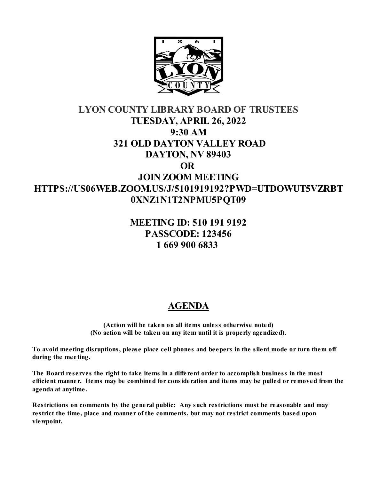

# **LYON COUNTY LIBRARY BOARD OF TRUSTEES TUESDAY, APRIL 26, 2022 9:30 AM 321 OLD DAYTON VALLEY ROAD DAYTON, NV 89403 OR JOIN ZOOM MEETING HTTPS://US06WEB.ZOOM.US/J/5101919192?PWD=UTDOWUT5VZRBT 0XNZ1N1T2NPMU5PQT09**

## **MEETING ID: 510 191 9192 PASSCODE: 123456 1 669 900 6833**

# **AGENDA**

**(Action will be taken on all items unless otherwise noted) (No action will be taken on any item until it is properly agendized).**

**To avoid meeting disruptions, please place cell phones and beepers in the silent mode or turn them off during the meeting.**

**The Board reserves the right to take items in a different order to accomplish business in the most efficient manner. Items may be combined for consideration and items may be pulled or removed from the agenda at anytime.** 

**Restrictions on comments by the general public: Any such restrictions must be reasonable and may restrict the time, place and manner of the comments, but may not restrict comments based upon viewpoint.**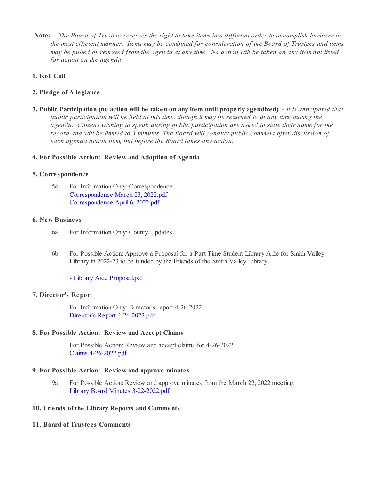**Note:** - *The Board of Trustees reserves the right to take items in a different order to accomplish business in the most efficient manner. Items may be combined for consideration of the Board of Trustees and items may be pulled or removed from the agenda at any time. No action will be taken on any item not listed for action on the agenda.*

## **1. Roll Call**

## **2. Pledge of Allegiance**

**3. Public Participation (no action will be taken on any item until properly agendized)** - *It is anticipated that public participation will be held at this time, though it may be returned to at any time during the agenda. Citizens wishing to speak during public participation are asked to state their name for the record and will be limited to 3 minutes. The Board will conduct public comment after discussion of each agenda action item, but before the Board takes any action.*

## **4. For Possible Action: Review and Adoption of Agenda**

## **5. Correspondence**

5a. For Information Only: Correspondence [Correspondence March 23, 2022.pdf](https://legistarweb-production.s3.amazonaws.com/uploads/attachment/pdf/1305927/Correspondence_March_23__2022.pdf) [Correspondence April 6, 2022.pdf](https://legistarweb-production.s3.amazonaws.com/uploads/attachment/pdf/1318940/Correspondence_April_6__2022.pdf)

#### **6. New Business**

- 6a. For Information Only: County Updates
- 6b. For Possible Action: Approve a Proposal for a Part Time Student Library Aide for Smith Valley Library in 2022-23 to be funded by the Friends of the Smith Valley Library.

[- Library Aide Proposal.pdf](https://legistarweb-production.s3.amazonaws.com/uploads/attachment/pdf/1316166/-_Library_Aide_Proposal.pdf)

## **7. Director's Report**

For Information Only: Director's report 4-26-2022 [Director's Report 4-26-2022.pdf](https://legistarweb-production.s3.amazonaws.com/uploads/attachment/pdf/1333280/Director_s_Report_4-26-2022.pdf)

## **8. For Possible Action: Review and Accept Claims**

For Possible Action: Review and accept claims for 4-26-2022 [Claims 4-26-2022.pdf](https://legistarweb-production.s3.amazonaws.com/uploads/attachment/pdf/1333344/Claims_4-26-2022.pdf)

## **9. For Possible Action: Review and approve minutes**

9a. For Possible Action: Review and approve minutes from the March 22, 2022 meeting. [Library Board Minutes 3-22-2022.pdf](https://legistarweb-production.s3.amazonaws.com/uploads/attachment/pdf/1324144/Library_Board_Minutes_3-22-2022.pdf)

## **10. Friends of the Library Reports and Comments**

## **11. Board of Trustees Comments**